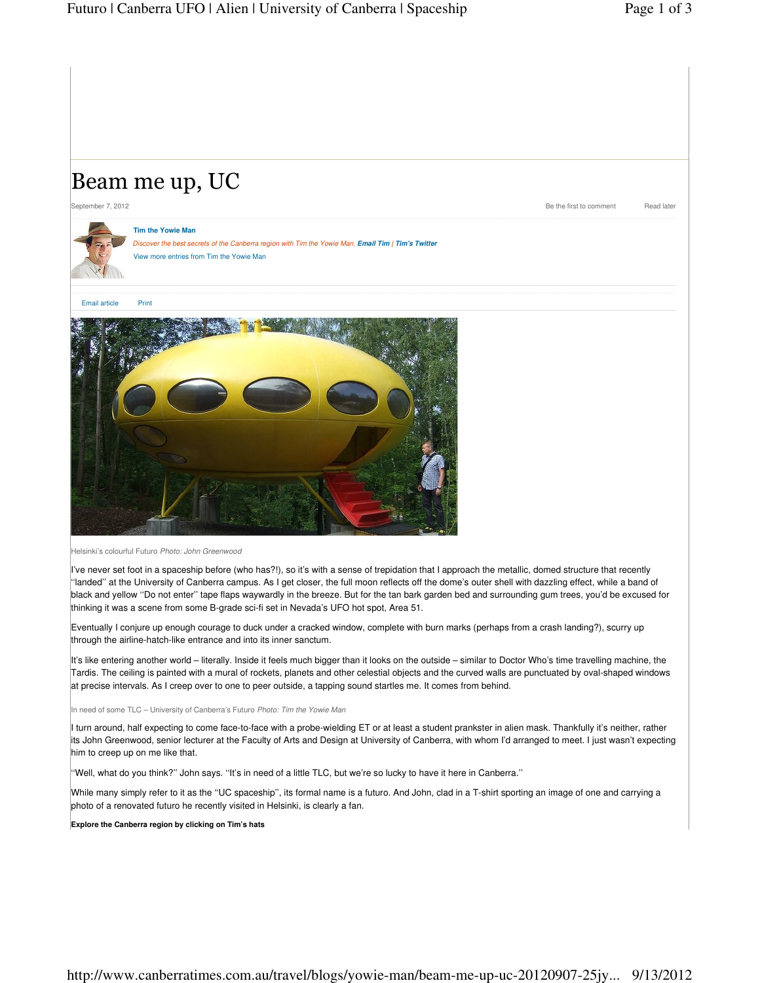## Beam me up, UC

September 7, 2012 Read later and the first to comment Read later



**Tim the Yowie Man** Discover the best secrets of the Canberra region with Tim the Yowie Man. **Email Tim | Tim's Twitter** View more entries from Tim the Yowie Man

Email article Print



Helsinki's colourful Futuro Photo: John Greenwood

I've never set foot in a spaceship before (who has?!), so it's with a sense of trepidation that I approach the metallic, domed structure that recently ''landed'' at the University of Canberra campus. As I get closer, the full moon reflects off the dome's outer shell with dazzling effect, while a band of black and yellow ''Do not enter'' tape flaps waywardly in the breeze. But for the tan bark garden bed and surrounding gum trees, you'd be excused for thinking it was a scene from some B-grade sci-fi set in Nevada's UFO hot spot, Area 51.

Eventually I conjure up enough courage to duck under a cracked window, complete with burn marks (perhaps from a crash landing?), scurry up through the airline-hatch-like entrance and into its inner sanctum.

It's like entering another world – literally. Inside it feels much bigger than it looks on the outside – similar to Doctor Who's time travelling machine, the Tardis. The ceiling is painted with a mural of rockets, planets and other celestial objects and the curved walls are punctuated by oval-shaped windows at precise intervals. As I creep over to one to peer outside, a tapping sound startles me. It comes from behind.

In need of some TLC – University of Canberra's Futuro Photo: Tim the Yowie Man

I turn around, half expecting to come face-to-face with a probe-wielding ET or at least a student prankster in alien mask. Thankfully it's neither, rather its John Greenwood, senior lecturer at the Faculty of Arts and Design at University of Canberra, with whom I'd arranged to meet. I just wasn't expecting him to creep up on me like that.

''Well, what do you think?'' John says. ''It's in need of a little TLC, but we're so lucky to have it here in Canberra.''

While many simply refer to it as the ''UC spaceship'', its formal name is a futuro. And John, clad in a T-shirt sporting an image of one and carrying a photo of a renovated futuro he recently visited in Helsinki, is clearly a fan.

**Explore the Canberra region by clicking on Tim's hats**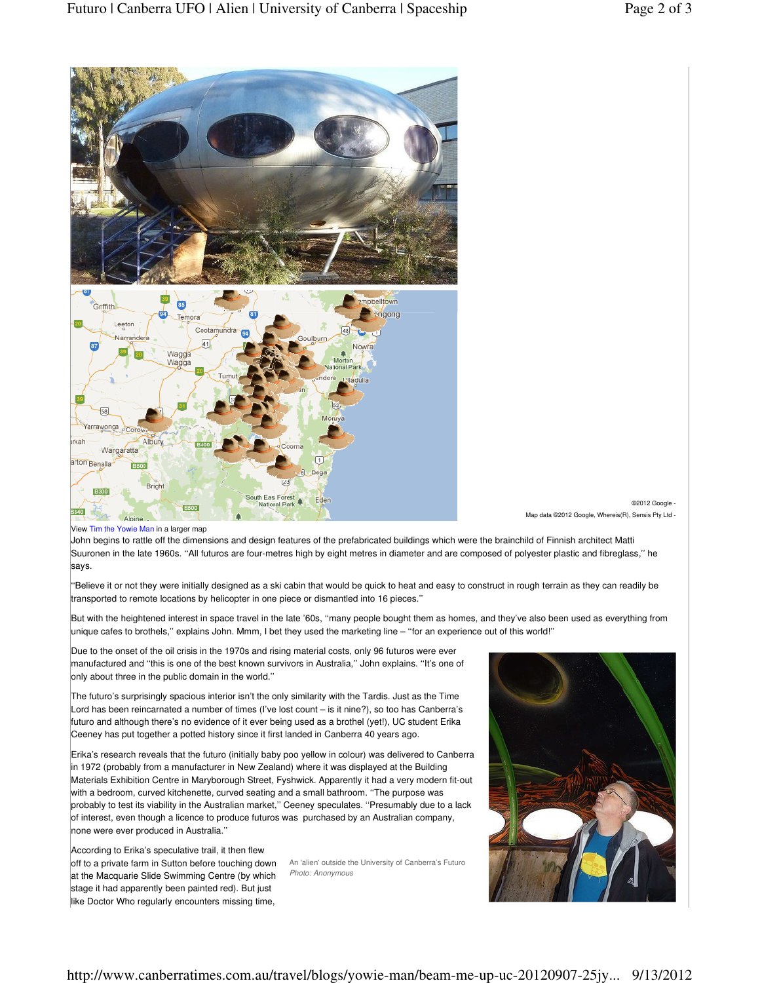

©2012 Google - Map data ©2012 Google, Whereis(R), Sensis Pty Ltd -

View Tim the Yowie Man in a larger map

John begins to rattle off the dimensions and design features of the prefabricated buildings which were the brainchild of Finnish architect Matti Suuronen in the late 1960s. ''All futuros are four-metres high by eight metres in diameter and are composed of polyester plastic and fibreglass,'' he says.

''Believe it or not they were initially designed as a ski cabin that would be quick to heat and easy to construct in rough terrain as they can readily be transported to remote locations by helicopter in one piece or dismantled into 16 pieces.''

But with the heightened interest in space travel in the late '60s, ''many people bought them as homes, and they've also been used as everything from unique cafes to brothels,'' explains John. Mmm, I bet they used the marketing line – ''for an experience out of this world!''

Due to the onset of the oil crisis in the 1970s and rising material costs, only 96 futuros were ever manufactured and ''this is one of the best known survivors in Australia,'' John explains. ''It's one of only about three in the public domain in the world.''

The futuro's surprisingly spacious interior isn't the only similarity with the Tardis. Just as the Time Lord has been reincarnated a number of times (I've lost count – is it nine?), so too has Canberra's futuro and although there's no evidence of it ever being used as a brothel (yet!), UC student Erika Ceeney has put together a potted history since it first landed in Canberra 40 years ago.

Erika's research reveals that the futuro (initially baby poo yellow in colour) was delivered to Canberra in 1972 (probably from a manufacturer in New Zealand) where it was displayed at the Building Materials Exhibition Centre in Maryborough Street, Fyshwick. Apparently it had a very modern fit-out with a bedroom, curved kitchenette, curved seating and a small bathroom. ''The purpose was probably to test its viability in the Australian market,'' Ceeney speculates. ''Presumably due to a lack of interest, even though a licence to produce futuros was purchased by an Australian company, none were ever produced in Australia.''

off to a private farm in Sutton before touching down An 'alien' outside the University of Canberra's Futuro According to Erika's speculative trail, it then flew at the Macquarie Slide Swimming Centre (by which stage it had apparently been painted red). But just like Doctor Who regularly encounters missing time,

Photo: Anonymous